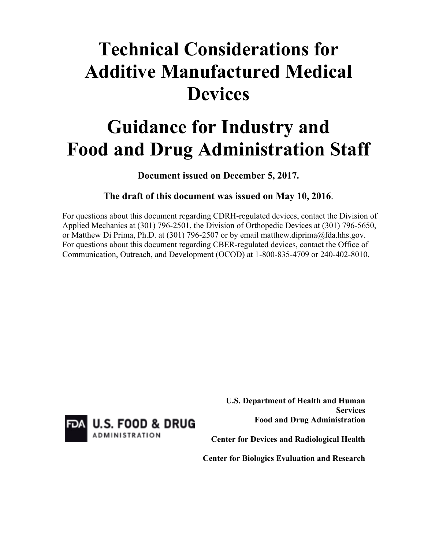# **Technical Considerations for Additive Manufactured Medical Devices**

# **Guidance for Industry and Food and Drug Administration Staff**

**Document issued on December 5, 2017.** 

## **The draft of this document was issued on May 10, 2016**.

For questions about this document regarding CDRH-regulated devices, contact the Division of Applied Mechanics at (301) 796-2501, the Division of Orthopedic Devices at (301) 796-5650, or Matthew Di Prima, Ph.D. at (301) 796-2507 or by email matthew.diprima@fda.hhs.gov. For questions about this document regarding CBER-regulated devices, contact the Office of Communication, Outreach, and Development (OCOD) at 1-800-835-4709 or 240-402-8010.



 **U.S. Department of Health and Human Services Food and Drug Administration**

**Center for Devices and Radiological Health**

**Center for Biologics Evaluation and Research**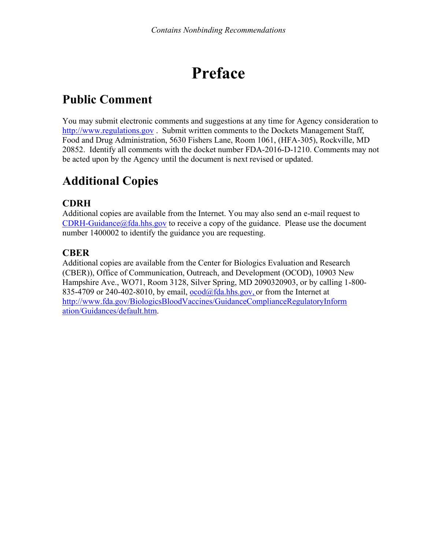# **Preface**

# **Public Comment**

You may submit electronic comments and suggestions at any time for Agency consideration to [http://www.regulations.gov](http://www.regulations.gov/) . Submit written comments to the Dockets Management Staff, Food and Drug Administration, 5630 Fishers Lane, Room 1061, (HFA-305), Rockville, MD 20852. Identify all comments with the docket number FDA-2016-D-1210. Comments may not be acted upon by the Agency until the document is next revised or updated.

# **Additional Copies**

## **CDRH**

Additional copies are available from the Internet. You may also send an e-mail request to  $CDRH-Guidance@fda.hhs.gov$  to receive a copy of the guidance. Please use the document number 1400002 to identify the guidance you are requesting.

## **CBER**

Additional copies are available from the Center for Biologics Evaluation and Research (CBER)), Office of Communication, Outreach, and Development (OCOD), 10903 New Hampshire Ave., WO71, Room 3128, Silver Spring, MD 2090320903, or by calling 1-800- 835-4709 or 240-402-8010, by email,  $\alpha$ cod $\alpha$ fda.hhs.gov, or from the Internet at [http://www.fda.gov/BiologicsBloodVaccines/GuidanceComplianceRegulatoryInform](http://www.fda.gov/BiologicsBloodVaccines/GuidanceComplianceRegulatoryInformation/Guidances/default.htm) [ation/Guidances/default.htm.](http://www.fda.gov/BiologicsBloodVaccines/GuidanceComplianceRegulatoryInformation/Guidances/default.htm)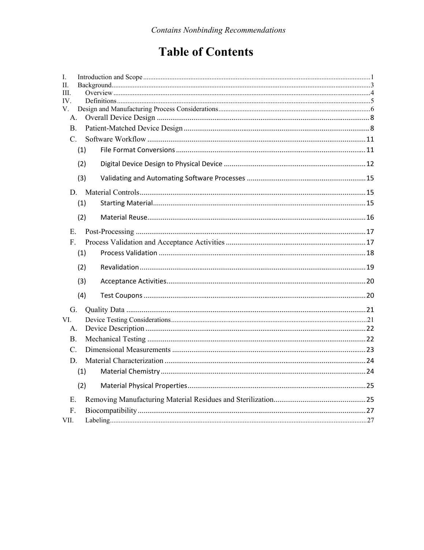# **Table of Contents**

| I.              |     |  |
|-----------------|-----|--|
| Π.              |     |  |
| Ш.              |     |  |
| IV.<br>V.       |     |  |
| А.              |     |  |
| B <sub>1</sub>  |     |  |
|                 |     |  |
| $C_{\cdot}$     |     |  |
|                 | (1) |  |
|                 | (2) |  |
|                 | (3) |  |
|                 |     |  |
|                 | (1) |  |
|                 |     |  |
|                 | (2) |  |
| E.              |     |  |
| F.              |     |  |
|                 | (1) |  |
|                 | (2) |  |
|                 | (3) |  |
|                 | (4) |  |
| G.              |     |  |
| VI.             |     |  |
| А.              |     |  |
| <b>B.</b>       |     |  |
| $\mathcal{C}$ . |     |  |
| D.              |     |  |
|                 | (1) |  |
|                 | (2) |  |
| Е.              |     |  |
| F.              |     |  |
| VII.            |     |  |
|                 |     |  |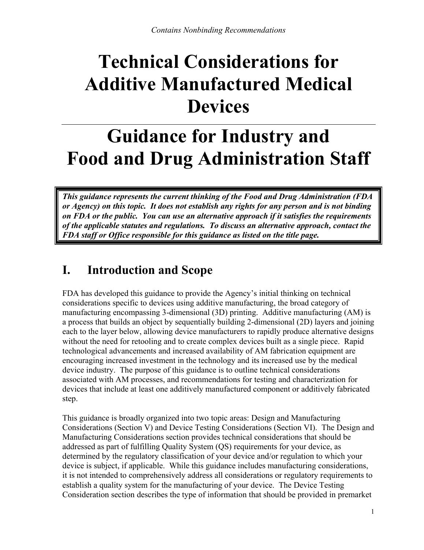# **Technical Considerations for Additive Manufactured Medical Devices**

# **Guidance for Industry and Food and Drug Administration Staff**

*This guidance represents the current thinking of the Food and Drug Administration (FDA or Agency) on this topic. It does not establish any rights for any person and is not binding on FDA or the public. You can use an alternative approach if it satisfies the requirements of the applicable statutes and regulations. To discuss an alternative approach, contact the FDA staff or Office responsible for this guidance as listed on the title page.* 

# <span id="page-3-0"></span>**I. Introduction and Scope**

FDA has developed this guidance to provide the Agency's initial thinking on technical considerations specific to devices using additive manufacturing, the broad category of manufacturing encompassing 3-dimensional (3D) printing. Additive manufacturing (AM) is a process that builds an object by sequentially building 2-dimensional (2D) layers and joining each to the layer below, allowing device manufacturers to rapidly produce alternative designs without the need for retooling and to create complex devices built as a single piece. Rapid technological advancements and increased availability of AM fabrication equipment are encouraging increased investment in the technology and its increased use by the medical device industry. The purpose of this guidance is to outline technical considerations associated with AM processes, and recommendations for testing and characterization for devices that include at least one additively manufactured component or additively fabricated step.

This guidance is broadly organized into two topic areas: Design and Manufacturing Considerations (Section V) and Device Testing Considerations (Section VI). The Design and Manufacturing Considerations section provides technical considerations that should be addressed as part of fulfilling Quality System (QS) requirements for your device, as determined by the regulatory classification of your device and/or regulation to which your device is subject, if applicable. While this guidance includes manufacturing considerations, it is not intended to comprehensively address all considerations or regulatory requirements to establish a quality system for the manufacturing of your device. The Device Testing Consideration section describes the type of information that should be provided in premarket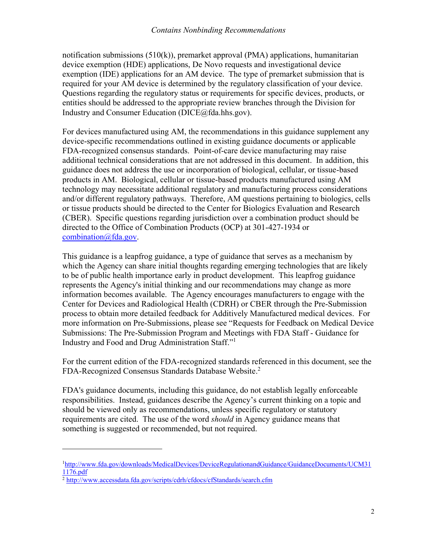notification submissions (510(k)), premarket approval (PMA) applications, humanitarian device exemption (HDE) applications, De Novo requests and investigational device exemption (IDE) applications for an AM device. The type of premarket submission that is required for your AM device is determined by the regulatory classification of your device. Questions regarding the regulatory status or requirements for specific devices, products, or entities should be addressed to the appropriate review branches through the Division for Industry and Consumer Education (DICE@fda.hhs.gov).

For devices manufactured using AM, the recommendations in this guidance supplement any device-specific recommendations outlined in existing guidance documents or applicable FDA-recognized consensus standards. Point-of-care device manufacturing may raise additional technical considerations that are not addressed in this document. In addition, this guidance does not address the use or incorporation of biological, cellular, or tissue-based products in AM. Biological, cellular or tissue-based products manufactured using AM technology may necessitate additional regulatory and manufacturing process considerations and/or different regulatory pathways. Therefore, AM questions pertaining to biologics, cells or tissue products should be directed to the Center for Biologics Evaluation and Research (CBER). Specific questions regarding jurisdiction over a combination product should be directed to the Office of Combination Products (OCP) at 301-427-1934 or [combination@fda.gov](mailto:combination@fda.gov).

This guidance is a leapfrog guidance, a type of guidance that serves as a mechanism by which the Agency can share initial thoughts regarding emerging technologies that are likely to be of public health importance early in product development. This leapfrog guidance represents the Agency's initial thinking and our recommendations may change as more information becomes available. The Agency encourages manufacturers to engage with the Center for Devices and Radiological Health (CDRH) or CBER through the Pre-Submission process to obtain more detailed feedback for Additively Manufactured medical devices. For more information on Pre-Submissions, please see "Requests for Feedback on Medical Device Submissions: The Pre-Submission Program and Meetings with FDA Staff - Guidance for Industry and Food and Drug Administration Staff."[1](#page-4-0)

For the current edition of the FDA-recognized standards referenced in this document, see the FDA-Recognized Consensus Standards Database Website. [2](#page-4-1)

FDA's guidance documents, including this guidance, do not establish legally enforceable responsibilities. Instead, guidances describe the Agency's current thinking on a topic and should be viewed only as recommendations, unless specific regulatory or statutory requirements are cited. The use of the word *should* in Agency guidance means that something is suggested or recommended, but not required.

<span id="page-4-0"></span><sup>1</sup>[http://www.fda.gov/downloads/MedicalDevices/DeviceRegulationandGuidance/GuidanceDocuments/UCM31](http://www.fda.gov/downloads/MedicalDevices/DeviceRegulationandGuidance/GuidanceDocuments/UCM311176.pdf) [1176.pdf](http://www.fda.gov/downloads/MedicalDevices/DeviceRegulationandGuidance/GuidanceDocuments/UCM311176.pdf) 

<span id="page-4-1"></span><sup>2</sup> [http://www.accessdata.fda.gov/scripts/cdrh/cfdocs/cfStandards/search.cf](http://www.accessdata.fda.gov/scripts/cdrh/cfdocs/cfStandards/search.cfm)m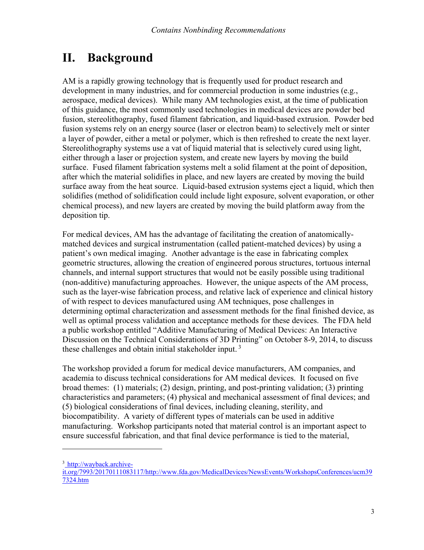# <span id="page-5-0"></span>**II. Background**

AM is a rapidly growing technology that is frequently used for product research and development in many industries, and for commercial production in some industries (e.g., aerospace, medical devices). While many AM technologies exist, at the time of publication of this guidance, the most commonly used technologies in medical devices are powder bed fusion, stereolithography, fused filament fabrication, and liquid-based extrusion. Powder bed fusion systems rely on an energy source (laser or electron beam) to selectively melt or sinter a layer of powder, either a metal or polymer, which is then refreshed to create the next layer. Stereolithography systems use a vat of liquid material that is selectively cured using light, either through a laser or projection system, and create new layers by moving the build surface. Fused filament fabrication systems melt a solid filament at the point of deposition, after which the material solidifies in place, and new layers are created by moving the build surface away from the heat source. Liquid-based extrusion systems eject a liquid, which then solidifies (method of solidification could include light exposure, solvent evaporation, or other chemical process), and new layers are created by moving the build platform away from the deposition tip.

For medical devices, AM has the advantage of facilitating the creation of anatomicallymatched devices and surgical instrumentation (called patient-matched devices) by using a patient's own medical imaging. Another advantage is the ease in fabricating complex geometric structures, allowing the creation of engineered porous structures, tortuous internal channels, and internal support structures that would not be easily possible using traditional (non-additive) manufacturing approaches. However, the unique aspects of the AM process, such as the layer-wise fabrication process, and relative lack of experience and clinical history of with respect to devices manufactured using AM techniques, pose challenges in determining optimal characterization and assessment methods for the final finished device, as well as optimal process validation and acceptance methods for these devices. The FDA held a public workshop entitled "Additive Manufacturing of Medical Devices: An Interactive Discussion on the Technical Considerations of 3D Printing" on October 8-9, 2014, to discuss these challenges and obtain initial stakeholder input. [3](#page-5-1)

The workshop provided a forum for medical device manufacturers, AM companies, and academia to discuss technical considerations for AM medical devices. It focused on five broad themes: (1) materials; (2) design, printing, and post-printing validation; (3) printing characteristics and parameters; (4) physical and mechanical assessment of final devices; and (5) biological considerations of final devices, including cleaning, sterility, and biocompatibility. A variety of different types of materials can be used in additive manufacturing. Workshop participants noted that material control is an important aspect to ensure successful fabrication, and that final device performance is tied to the material,

<span id="page-5-1"></span><sup>3</sup> [http://wayback.archive-](http://wayback.archive-it.org/7993/20170111083117/http://www.fda.gov/MedicalDevices/NewsEvents/WorkshopsConferences/ucm397324.htm)

[it.org/7993/20170111083117/http://www.fda.gov/MedicalDevices/NewsEvents/WorkshopsConferences/ucm39](http://wayback.archive-it.org/7993/20170111083117/http://www.fda.gov/MedicalDevices/NewsEvents/WorkshopsConferences/ucm397324.htm) [7324.htm](http://wayback.archive-it.org/7993/20170111083117/http://www.fda.gov/MedicalDevices/NewsEvents/WorkshopsConferences/ucm397324.htm)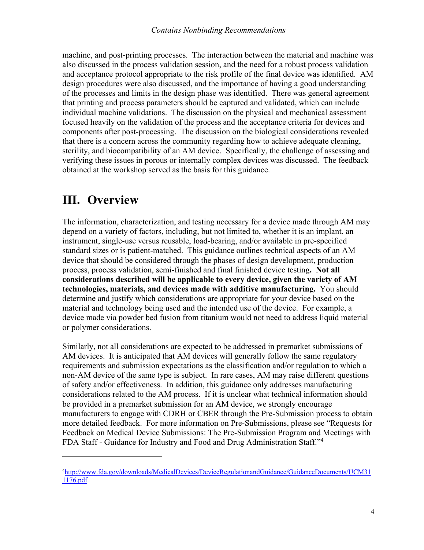machine, and post-printing processes. The interaction between the material and machine was also discussed in the process validation session, and the need for a robust process validation and acceptance protocol appropriate to the risk profile of the final device was identified. AM design procedures were also discussed, and the importance of having a good understanding of the processes and limits in the design phase was identified. There was general agreement that printing and process parameters should be captured and validated, which can include individual machine validations. The discussion on the physical and mechanical assessment focused heavily on the validation of the process and the acceptance criteria for devices and components after post-processing. The discussion on the biological considerations revealed that there is a concern across the community regarding how to achieve adequate cleaning, sterility, and biocompatibility of an AM device. Specifically, the challenge of assessing and verifying these issues in porous or internally complex devices was discussed. The feedback obtained at the workshop served as the basis for this guidance.

# <span id="page-6-0"></span>**III. Overview**

 $\overline{a}$ 

The information, characterization, and testing necessary for a device made through AM may depend on a variety of factors, including, but not limited to, whether it is an implant, an instrument, single-use versus reusable, load-bearing, and/or available in pre-specified standard sizes or is patient-matched. This guidance outlines technical aspects of an AM device that should be considered through the phases of design development, production process, process validation, semi-finished and final finished device testing**. Not all considerations described will be applicable to every device, given the variety of AM technologies, materials, and devices made with additive manufacturing.** You should determine and justify which considerations are appropriate for your device based on the material and technology being used and the intended use of the device. For example, a device made via powder bed fusion from titanium would not need to address liquid material or polymer considerations.

Similarly, not all considerations are expected to be addressed in premarket submissions of AM devices. It is anticipated that AM devices will generally follow the same regulatory requirements and submission expectations as the classification and/or regulation to which a non-AM device of the same type is subject. In rare cases, AM may raise different questions of safety and/or effectiveness. In addition, this guidance only addresses manufacturing considerations related to the AM process. If it is unclear what technical information should be provided in a premarket submission for an AM device, we strongly encourage manufacturers to engage with CDRH or CBER through the Pre-Submission process to obtain more detailed feedback. For more information on Pre-Submissions, please see "Requests for Feedback on Medical Device Submissions: The Pre-Submission Program and Meetings with FDA Staff - Guidance for Industry and Food and Drug Administration Staff."<sup>[4](#page-6-1)</sup>

<span id="page-6-1"></span><sup>4</sup>[http://www.fda.gov/downloads/MedicalDevices/DeviceRegulationandGuidance/GuidanceDocuments/UCM31](http://www.fda.gov/downloads/MedicalDevices/DeviceRegulationandGuidance/GuidanceDocuments/UCM311176.pdf) [1176.pdf](http://www.fda.gov/downloads/MedicalDevices/DeviceRegulationandGuidance/GuidanceDocuments/UCM311176.pdf)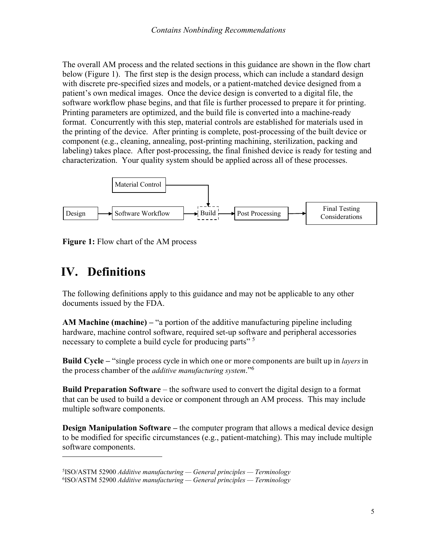The overall AM process and the related sections in this guidance are shown in the flow chart below (Figure 1). The first step is the design process, which can include a standard design with discrete pre-specified sizes and models, or a patient-matched device designed from a patient's own medical images. Once the device design is converted to a digital file, the software workflow phase begins, and that file is further processed to prepare it for printing. Printing parameters are optimized, and the build file is converted into a machine-ready format. Concurrently with this step, material controls are established for materials used in the printing of the device. After printing is complete, post-processing of the built device or component (e.g., cleaning, annealing, post-printing machining, sterilization, packing and labeling) takes place. After post-processing, the final finished device is ready for testing and characterization. Your quality system should be applied across all of these processes.



**Figure 1:** Flow chart of the AM process

# **IV. Definitions**

 $\overline{a}$ 

The following definitions apply to this guidance and may not be applicable to any other documents issued by the FDA.

**AM Machine (machine) –** "a portion of the additive manufacturing pipeline including hardware, machine control software, required set-up software and peripheral accessories necessary to complete a build cycle for producing parts"<sup>[5](#page-7-0)</sup>

**Build Cycle –** "single process cycle in which one or more components are built up in *layers* in the process chamber of the *additive manufacturing system*."[6](#page-7-1)

**Build Preparation Software** – the software used to convert the digital design to a format that can be used to build a device or component through an AM process. This may include multiple software components.

**Design Manipulation Software** – the computer program that allows a medical device design to be modified for specific circumstances (e.g., patient-matching). This may include multiple software components.

<span id="page-7-1"></span><span id="page-7-0"></span><sup>5</sup> ISO/ASTM 52900 *Additive manufacturing — General principles — Terminology* 6 ISO/ASTM 52900 *Additive manufacturing — General principles — Terminology*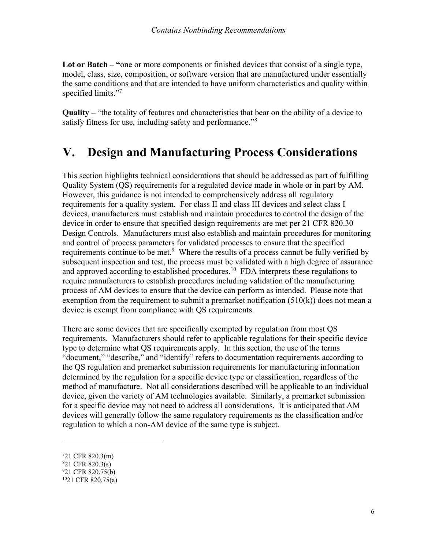**Lot or Batch – "**one or more components or finished devices that consist of a single type, model, class, size, composition, or software version that are manufactured under essentially the same conditions and that are intended to have uniform characteristics and quality within specified limits."<sup>[7](#page-8-1)</sup>

**Quality –** "the totality of features and characteristics that bear on the ability of a device to satisfy fitness for use, including safety and performance."<sup>[8](#page-8-2)</sup>

## <span id="page-8-0"></span>**V. Design and Manufacturing Process Considerations**

This section highlights technical considerations that should be addressed as part of fulfilling Quality System (QS) requirements for a regulated device made in whole or in part by AM. However, this guidance is not intended to comprehensively address all regulatory requirements for a quality system. For class II and class III devices and select class I devices, manufacturers must establish and maintain procedures to control the design of the device in order to ensure that specified design requirements are met per 21 CFR 820.30 Design Controls. Manufacturers must also establish and maintain procedures for monitoring and control of process parameters for validated processes to ensure that the specified requirements continue to be met.<sup>[9](#page-8-3)</sup> Where the results of a process cannot be fully verified by subsequent inspection and test, the process must be validated with a high degree of assurance and approved according to established procedures.<sup>[10](#page-8-4)</sup> FDA interprets these regulations to require manufacturers to establish procedures including validation of the manufacturing process of AM devices to ensure that the device can perform as intended. Please note that exemption from the requirement to submit a premarket notification  $(510(k))$  does not mean a device is exempt from compliance with QS requirements.

There are some devices that are specifically exempted by regulation from most QS requirements. Manufacturers should refer to applicable regulations for their specific device type to determine what QS requirements apply. In this section, the use of the terms "document," "describe," and "identify" refers to documentation requirements according to the QS regulation and premarket submission requirements for manufacturing information determined by the regulation for a specific device type or classification, regardless of the method of manufacture. Not all considerations described will be applicable to an individual device, given the variety of AM technologies available. Similarly, a premarket submission for a specific device may not need to address all considerations. It is anticipated that AM devices will generally follow the same regulatory requirements as the classification and/or regulation to which a non-AM device of the same type is subject.

<span id="page-8-1"></span><sup>7</sup>21 CFR 820.3(m)

<span id="page-8-2"></span><sup>8</sup>21 CFR 820.3(s)

<span id="page-8-3"></span><sup>9</sup>21 CFR 820.75(b)

<span id="page-8-4"></span><sup>10</sup>21 CFR 820.75(a)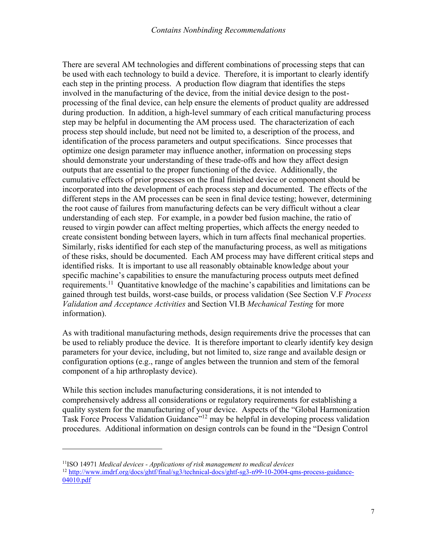There are several AM technologies and different combinations of processing steps that can be used with each technology to build a device. Therefore, it is important to clearly identify each step in the printing process. A production flow diagram that identifies the steps involved in the manufacturing of the device, from the initial device design to the postprocessing of the final device, can help ensure the elements of product quality are addressed during production. In addition, a high-level summary of each critical manufacturing process step may be helpful in documenting the AM process used. The characterization of each process step should include, but need not be limited to, a description of the process, and identification of the process parameters and output specifications. Since processes that optimize one design parameter may influence another, information on processing steps should demonstrate your understanding of these trade-offs and how they affect design outputs that are essential to the proper functioning of the device. Additionally, the cumulative effects of prior processes on the final finished device or component should be incorporated into the development of each process step and documented. The effects of the different steps in the AM processes can be seen in final device testing; however, determining the root cause of failures from manufacturing defects can be very difficult without a clear understanding of each step. For example, in a powder bed fusion machine, the ratio of reused to virgin powder can affect melting properties, which affects the energy needed to create consistent bonding between layers, which in turn affects final mechanical properties. Similarly, risks identified for each step of the manufacturing process, as well as mitigations of these risks, should be documented. Each AM process may have different critical steps and identified risks. It is important to use all reasonably obtainable knowledge about your specific machine's capabilities to ensure the manufacturing process outputs meet defined requirements.<sup>[11](#page-9-0)</sup> Quantitative knowledge of the machine's capabilities and limitations can be gained through test builds, worst-case builds, or process validation (See Section V.F *Process Validation and Acceptance Activities* and Section VI.B *Mechanical Testing* for more information).

As with traditional manufacturing methods, design requirements drive the processes that can be used to reliably produce the device. It is therefore important to clearly identify key design parameters for your device, including, but not limited to, size range and available design or configuration options (e.g., range of angles between the trunnion and stem of the femoral component of a hip arthroplasty device).

While this section includes manufacturing considerations, it is not intended to comprehensively address all considerations or regulatory requirements for establishing a quality system for the manufacturing of your device. Aspects of the "Global Harmonization Task Force Process Validation Guidance"<sup>[12](#page-9-1)</sup> may be helpful in developing process validation procedures. Additional information on design controls can be found in the "Design Control

<span id="page-9-1"></span><span id="page-9-0"></span><sup>11</sup>ISO 14971 *Medical devices - Applications of risk management to medical devices* <sup>12</sup> [http://www.imdrf.org/docs/ghtf/final/sg3/technical-docs/ghtf-sg3-n99-10-2004-qms-process-guidance-](http://www.imdrf.org/docs/ghtf/final/sg3/technical-docs/ghtf-sg3-n99-10-2004-qms-process-guidance-04010.pdf)[04010.pdf](http://www.imdrf.org/docs/ghtf/final/sg3/technical-docs/ghtf-sg3-n99-10-2004-qms-process-guidance-04010.pdf)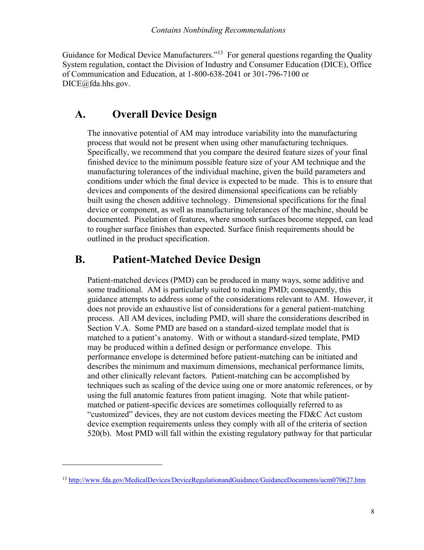Guidance for Medical Device Manufacturers."<sup>[13](#page-10-2)</sup> For general questions regarding the Quality System regulation, contact the Division of Industry and Consumer Education (DICE), Office of Communication and Education, at 1-800-638-2041 or 301-796-7100 or DICE@fda.hhs.gov.

## **A. Overall Device Design**

<span id="page-10-0"></span>The innovative potential of AM may introduce variability into the manufacturing process that would not be present when using other manufacturing techniques. Specifically, we recommend that you compare the desired feature sizes of your final finished device to the minimum possible feature size of your AM technique and the manufacturing tolerances of the individual machine, given the build parameters and conditions under which the final device is expected to be made. This is to ensure that devices and components of the desired dimensional specifications can be reliably built using the chosen additive technology. Dimensional specifications for the final device or component, as well as manufacturing tolerances of the machine, should be documented. Pixelation of features, where smooth surfaces become stepped, can lead to rougher surface finishes than expected. Surface finish requirements should be outlined in the product specification.

## <span id="page-10-1"></span>**B. Patient-Matched Device Design**

Patient-matched devices (PMD) can be produced in many ways, some additive and some traditional. AM is particularly suited to making PMD; consequently, this guidance attempts to address some of the considerations relevant to AM. However, it does not provide an exhaustive list of considerations for a general patient-matching process. All AM devices, including PMD, will share the considerations described in Section V.A. Some PMD are based on a standard-sized template model that is matched to a patient's anatomy. With or without a standard-sized template, PMD may be produced within a defined design or performance envelope. This performance envelope is determined before patient-matching can be initiated and describes the minimum and maximum dimensions, mechanical performance limits, and other clinically relevant factors. Patient-matching can be accomplished by techniques such as scaling of the device using one or more anatomic references, or by using the full anatomic features from patient imaging. Note that while patientmatched or patient-specific devices are sometimes colloquially referred to as "customized" devices, they are not custom devices meeting the FD&C Act custom device exemption requirements unless they comply with all of the criteria of section 520(b). Most PMD will fall within the existing regulatory pathway for that particular

<span id="page-10-2"></span><sup>13</sup> [http://www.fda.gov/MedicalDevices/DeviceRegulationandGuidance/GuidanceDocuments/ucm070627.ht](http://www.fda.gov/MedicalDevices/DeviceRegulationandGuidance/GuidanceDocuments/ucm070627.htm)m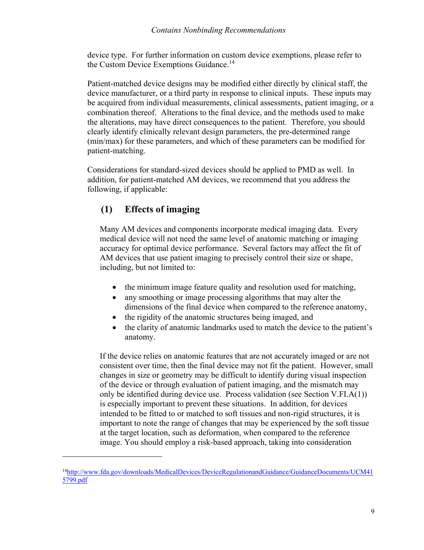device type. For further information on custom device exemptions, please refer to the Custom Device Exemption[s](#page-11-0) Guidance.<sup>14</sup>

Patient-matched device designs may be modified either directly by clinical staff, the device manufacturer, or a third party in response to clinical inputs. These inputs may be acquired from individual measurements, clinical assessments, patient imaging, or a combination thereof. Alterations to the final device, and the methods used to make the alterations, may have direct consequences to the patient. Therefore, you should clearly identify clinically relevant design parameters, the pre-determined range (min/max) for these parameters, and which of these parameters can be modified for patient-matching.

Considerations for standard-sized devices should be applied to PMD as well. In addition, for patient-matched AM devices, we recommend that you address the following, if applicable:

## **(1) Effects of imaging**

Many AM devices and components incorporate medical imaging data. Every medical device will not need the same level of anatomic matching or imaging accuracy for optimal device performance. Several factors may affect the fit of AM devices that use patient imaging to precisely control their size or shape, including, but not limited to:

- the minimum image feature quality and resolution used for matching,
- any smoothing or image processing algorithms that may alter the dimensions of the final device when compared to the reference anatomy,
- the rigidity of the anatomic structures being imaged, and
- the clarity of anatomic landmarks used to match the device to the patient's anatomy.

If the device relies on anatomic features that are not accurately imaged or are not consistent over time, then the final device may not fit the patient. However, small changes in size or geometry may be difficult to identify during visual inspection of the device or through evaluation of patient imaging, and the mismatch may only be identified during device use. Process validation (see Section V.FI.A(1)) is especially important to prevent these situations. In addition, for devices intended to be fitted to or matched to soft tissues and non-rigid structures, it is important to note the range of changes that may be experienced by the soft tissue at the target location, such as deformation, when compared to the reference image. You should employ a risk-based approach, taking into consideration

<span id="page-11-0"></span><sup>14</sup>[http://www.fda.gov/downloads/MedicalDevices/DeviceRegulationandGuidance/GuidanceDocuments/UCM41](http://www.fda.gov/downloads/MedicalDevices/DeviceRegulationandGuidance/GuidanceDocuments/UCM415799.pdf) [5799.pdf](http://www.fda.gov/downloads/MedicalDevices/DeviceRegulationandGuidance/GuidanceDocuments/UCM415799.pdf)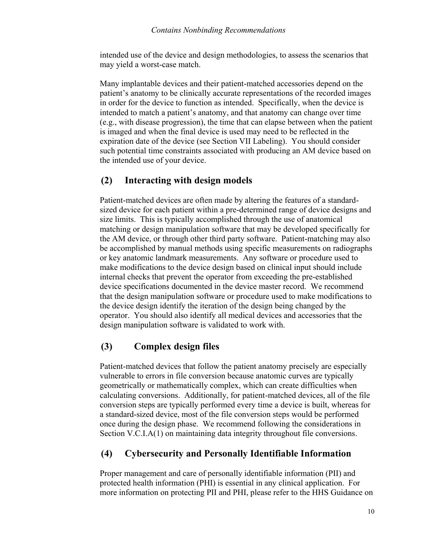intended use of the device and design methodologies, to assess the scenarios that may yield a worst-case match.

Many implantable devices and their patient-matched accessories depend on the patient's anatomy to be clinically accurate representations of the recorded images in order for the device to function as intended. Specifically, when the device is intended to match a patient's anatomy, and that anatomy can change over time (e.g., with disease progression), the time that can elapse between when the patient is imaged and when the final device is used may need to be reflected in the expiration date of the device (see Section VII Labeling). You should consider such potential time constraints associated with producing an AM device based on the intended use of your device.

## **(2) Interacting with design models**

Patient-matched devices are often made by altering the features of a standardsized device for each patient within a pre-determined range of device designs and size limits. This is typically accomplished through the use of anatomical matching or design manipulation software that may be developed specifically for the AM device, or through other third party software. Patient-matching may also be accomplished by manual methods using specific measurements on radiographs or key anatomic landmark measurements. Any software or procedure used to make modifications to the device design based on clinical input should include internal checks that prevent the operator from exceeding the pre-established device specifications documented in the device master record. We recommend that the design manipulation software or procedure used to make modifications to the device design identify the iteration of the design being changed by the operator. You should also identify all medical devices and accessories that the design manipulation software is validated to work with.

## **(3) Complex design files**

Patient-matched devices that follow the patient anatomy precisely are especially vulnerable to errors in file conversion because anatomic curves are typically geometrically or mathematically complex, which can create difficulties when calculating conversions. Additionally, for patient-matched devices, all of the file conversion steps are typically performed every time a device is built, whereas for a standard-sized device, most of the file conversion steps would be performed once during the design phase. We recommend following the considerations in Section V.C.I.A(1) on maintaining data integrity throughout file conversions.

## **(4) Cybersecurity and Personally Identifiable Information**

Proper management and care of personally identifiable information (PII) and protected health information (PHI) is essential in any clinical application. For more information on protecting PII and PHI, please refer to the HHS Guidance on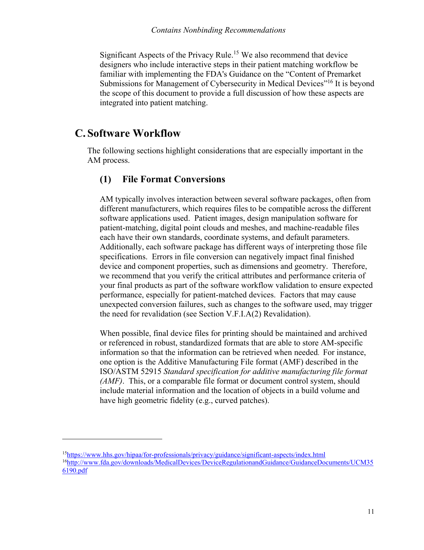Significant Aspects of the Pr[ivacy Rule.](#page-13-2) <sup>15</sup> We also recommend that device designers who include interactive steps in their patient matching workflow be familiar with implementing the FDA's Guidance on the "Content of Premarket Submissions for Management of Cybersecurity in Medic[al Devices"](#page-13-3)<sup>16</sup> It is beyond the scope of this document to provide a full discussion of how these aspects are integrated into patient matching.

## <span id="page-13-0"></span>**C. Software Workflow**

 $\overline{a}$ 

The following sections highlight considerations that are especially important in the AM process.

## <span id="page-13-1"></span>**(1) File Format Conversions**

AM typically involves interaction between several software packages, often from different manufacturers, which requires files to be compatible across the different software applications used. Patient images, design manipulation software for patient-matching, digital point clouds and meshes, and machine-readable files each have their own standards, coordinate systems, and default parameters. Additionally, each software package has different ways of interpreting those file specifications. Errors in file conversion can negatively impact final finished device and component properties, such as dimensions and geometry. Therefore, we recommend that you verify the critical attributes and performance criteria of your final products as part of the software workflow validation to ensure expected performance, especially for patient-matched devices. Factors that may cause unexpected conversion failures, such as changes to the software used, may trigger the need for revalidation (see Section V.F.I.A(2) Revalidation).

When possible, final device files for printing should be maintained and archived or referenced in robust, standardized formats that are able to store AM-specific information so that the information can be retrieved when needed. For instance, one option is the Additive Manufacturing File format (AMF) described in the ISO/ASTM 52915 *Standard specification for additive manufacturing file format (AMF)*. This, or a comparable file format or document control system, should include material information and the location of objects in a build volume and have high geometric fidelity (e.g., curved patches).

<span id="page-13-3"></span><span id="page-13-2"></span><sup>15</sup>[https://www.hhs.gov/hipaa/for-professionals/privacy/guidance/significant-aspects/index.htm](https://www.hhs.gov/hipaa/for-professionals/privacy/guidance/significant-aspects/index.html)l <sup>16</sup>[http://www.fda.gov/downloads/MedicalDevices/DeviceRegulationandGuidance/GuidanceDocuments/UCM35](http://www.fda.gov/downloads/MedicalDevices/DeviceRegulationandGuidance/GuidanceDocuments/UCM356190.pdf) [6190.pdf](http://www.fda.gov/downloads/MedicalDevices/DeviceRegulationandGuidance/GuidanceDocuments/UCM356190.pdf)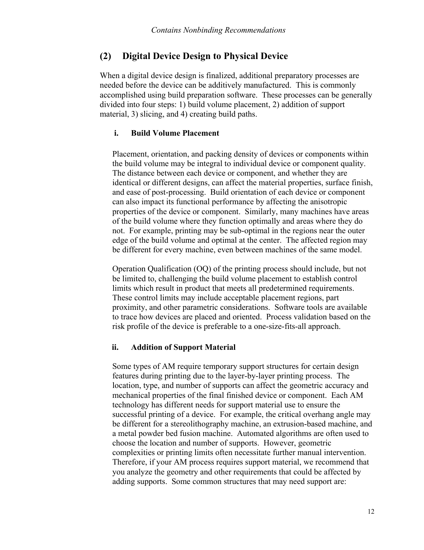#### <span id="page-14-0"></span>**(2) Digital Device Design to Physical Device**

When a digital device design is finalized, additional preparatory processes are needed before the device can be additively manufactured. This is commonly accomplished using build preparation software. These processes can be generally divided into four steps: 1) build volume placement, 2) addition of support material, 3) slicing, and 4) creating build paths.

#### **i. Build Volume Placement**

Placement, orientation, and packing density of devices or components within the build volume may be integral to individual device or component quality. The distance between each device or component, and whether they are identical or different designs, can affect the material properties, surface finish, and ease of post-processing. Build orientation of each device or component can also impact its functional performance by affecting the anisotropic properties of the device or component. Similarly, many machines have areas of the build volume where they function optimally and areas where they do not. For example, printing may be sub-optimal in the regions near the outer edge of the build volume and optimal at the center. The affected region may be different for every machine, even between machines of the same model.

Operation Qualification (OQ) of the printing process should include, but not be limited to, challenging the build volume placement to establish control limits which result in product that meets all predetermined requirements. These control limits may include acceptable placement regions, part proximity, and other parametric considerations. Software tools are available to trace how devices are placed and oriented. Process validation based on the risk profile of the device is preferable to a one-size-fits-all approach.

#### **ii. Addition of Support Material**

Some types of AM require temporary support structures for certain design features during printing due to the layer-by-layer printing process. The location, type, and number of supports can affect the geometric accuracy and mechanical properties of the final finished device or component. Each AM technology has different needs for support material use to ensure the successful printing of a device. For example, the critical overhang angle may be different for a stereolithography machine, an extrusion-based machine, and a metal powder bed fusion machine. Automated algorithms are often used to choose the location and number of supports. However, geometric complexities or printing limits often necessitate further manual intervention. Therefore, if your AM process requires support material, we recommend that you analyze the geometry and other requirements that could be affected by adding supports. Some common structures that may need support are: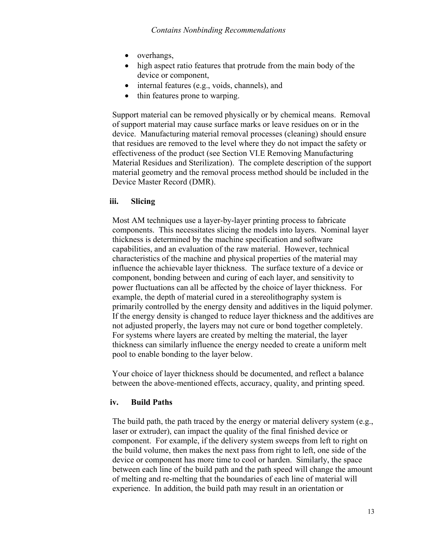- overhangs,
- high aspect ratio features that protrude from the main body of the device or component,
- internal features (e.g., voids, channels), and
- thin features prone to warping.

Support material can be removed physically or by chemical means. Removal of support material may cause surface marks or leave residues on or in the device. Manufacturing material removal processes (cleaning) should ensure that residues are removed to the level where they do not impact the safety or effectiveness of the product (see Section VI.E Removing Manufacturing Material Residues and Sterilization). The complete description of the support material geometry and the removal process method should be included in the Device Master Record (DMR).

#### **iii. Slicing**

Most AM techniques use a layer-by-layer printing process to fabricate components. This necessitates slicing the models into layers. Nominal layer thickness is determined by the machine specification and software capabilities, and an evaluation of the raw material. However, technical characteristics of the machine and physical properties of the material may influence the achievable layer thickness. The surface texture of a device or component, bonding between and curing of each layer, and sensitivity to power fluctuations can all be affected by the choice of layer thickness. For example, the depth of material cured in a stereolithography system is primarily controlled by the energy density and additives in the liquid polymer. If the energy density is changed to reduce layer thickness and the additives are not adjusted properly, the layers may not cure or bond together completely. For systems where layers are created by melting the material, the layer thickness can similarly influence the energy needed to create a uniform melt pool to enable bonding to the layer below.

Your choice of layer thickness should be documented, and reflect a balance between the above-mentioned effects, accuracy, quality, and printing speed.

#### **iv. Build Paths**

The build path, the path traced by the energy or material delivery system (e.g., laser or extruder), can impact the quality of the final finished device or component. For example, if the delivery system sweeps from left to right on the build volume, then makes the next pass from right to left, one side of the device or component has more time to cool or harden. Similarly, the space between each line of the build path and the path speed will change the amount of melting and re-melting that the boundaries of each line of material will experience. In addition, the build path may result in an orientation or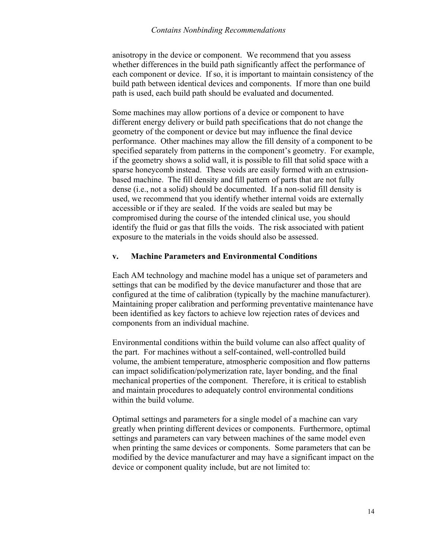#### *Contains Nonbinding Recommendations*

anisotropy in the device or component. We recommend that you assess whether differences in the build path significantly affect the performance of each component or device. If so, it is important to maintain consistency of the build path between identical devices and components. If more than one build path is used, each build path should be evaluated and documented.

Some machines may allow portions of a device or component to have different energy delivery or build path specifications that do not change the geometry of the component or device but may influence the final device performance. Other machines may allow the fill density of a component to be specified separately from patterns in the component's geometry. For example, if the geometry shows a solid wall, it is possible to fill that solid space with a sparse honeycomb instead. These voids are easily formed with an extrusionbased machine. The fill density and fill pattern of parts that are not fully dense (i.e., not a solid) should be documented. If a non-solid fill density is used, we recommend that you identify whether internal voids are externally accessible or if they are sealed. If the voids are sealed but may be compromised during the course of the intended clinical use, you should identify the fluid or gas that fills the voids. The risk associated with patient exposure to the materials in the voids should also be assessed.

#### **v. Machine Parameters and Environmental Conditions**

Each AM technology and machine model has a unique set of parameters and settings that can be modified by the device manufacturer and those that are configured at the time of calibration (typically by the machine manufacturer). Maintaining proper calibration and performing preventative maintenance have been identified as key factors to achieve low rejection rates of devices and components from an individual machine.

Environmental conditions within the build volume can also affect quality of the part. For machines without a self-contained, well-controlled build volume, the ambient temperature, atmospheric composition and flow patterns can impact solidification/polymerization rate, layer bonding, and the final mechanical properties of the component. Therefore, it is critical to establish and maintain procedures to adequately control environmental conditions within the build volume.

Optimal settings and parameters for a single model of a machine can vary greatly when printing different devices or components. Furthermore, optimal settings and parameters can vary between machines of the same model even when printing the same devices or components. Some parameters that can be modified by the device manufacturer and may have a significant impact on the device or component quality include, but are not limited to: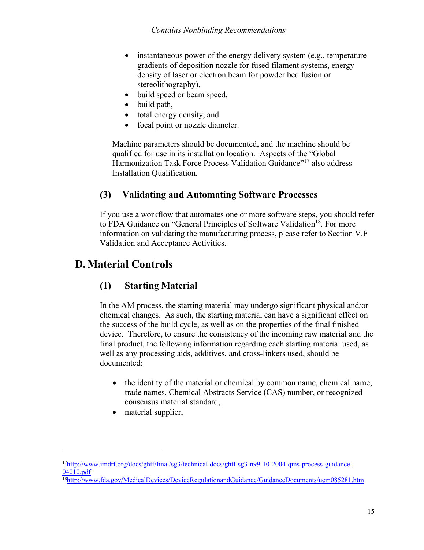- instantaneous power of the energy delivery system (e.g., temperature gradients of deposition nozzle for fused filament systems, energy density of laser or electron beam for powder bed fusion or stereolithography),
- build speed or beam speed,
- build path,
- total energy density, and
- focal point or nozzle diameter.

Machine parameters should be documented, and the machine should be qualified for use in its installation location. Aspects of the "Global Harmonization Task Force Process Valida[tion Guidance"](#page-17-3)<sup>17</sup> also address Installation Qualification.

## <span id="page-17-0"></span>**(3) Validating and Automating Software Processes**

If you use a workflow that automates one or more software steps, you should refer to FDA Guidance on "General Principles of Softwar[e Validation](#page-17-4)<sup>18</sup>. For more information on validating the manufacturing process, please refer to Section V.F Validation and Acceptance Activities.

## <span id="page-17-1"></span>**D.Material Controls**

## <span id="page-17-2"></span>**(1) Starting Material**

In the AM process, the starting material may undergo significant physical and/or chemical changes. As such, the starting material can have a significant effect on the success of the build cycle, as well as on the properties of the final finished device. Therefore, to ensure the consistency of the incoming raw material and the final product, the following information regarding each starting material used, as well as any processing aids, additives, and cross-linkers used, should be documented:

- · the identity of the material or chemical by common name, chemical name, trade names, Chemical Abstracts Service (CAS) number, or recognized consensus material standard,
- material supplier,

<span id="page-17-3"></span><sup>17</sup>[http://www.imdrf.org/docs/ghtf/final/sg3/technical-docs/ghtf-sg3-n99-10-2004-qms-process-guidance-](http://www.imdrf.org/docs/ghtf/final/sg3/technical-docs/ghtf-sg3-n99-10-2004-qms-process-guidance-04010.pdf)[04010.pdf](http://www.imdrf.org/docs/ghtf/final/sg3/technical-docs/ghtf-sg3-n99-10-2004-qms-process-guidance-04010.pdf) 

<span id="page-17-4"></span><sup>18</sup>[http://www.fda.gov/MedicalDevices/DeviceRegulationandGuidance/GuidanceDocuments/ucm085281.ht](http://www.fda.gov/MedicalDevices/DeviceRegulationandGuidance/GuidanceDocuments/ucm085281.htm)m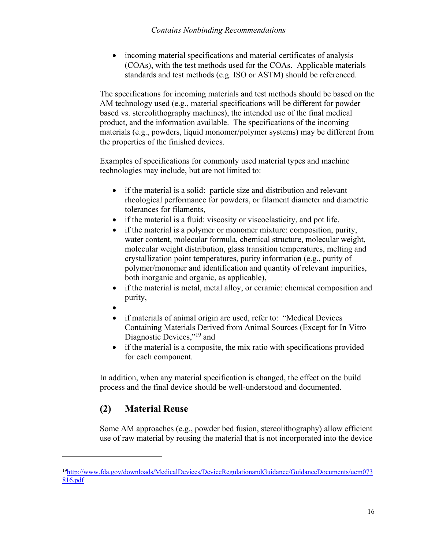• incoming material specifications and material certificates of analysis (COAs), with the test methods used for the COAs. Applicable materials standards and test methods (e.g. ISO or ASTM) should be referenced.

The specifications for incoming materials and test methods should be based on the AM technology used (e.g., material specifications will be different for powder based vs. stereolithography machines), the intended use of the final medical product, and the information available. The specifications of the incoming materials (e.g., powders, liquid monomer/polymer systems) may be different from the properties of the finished devices.

Examples of specifications for commonly used material types and machine technologies may include, but are not limited to:

- if the material is a solid: particle size and distribution and relevant rheological performance for powders, or filament diameter and diametric tolerances for filaments,
- if the material is a fluid: viscosity or viscoelasticity, and pot life,
- if the material is a polymer or monomer mixture: composition, purity, water content, molecular formula, chemical structure, molecular weight, molecular weight distribution, glass transition temperatures, melting and crystallization point temperatures, purity information (e.g., purity of polymer/monomer and identification and quantity of relevant impurities, both inorganic and organic, as applicable),
- if the material is metal, metal alloy, or ceramic: chemical composition and purity,
- ·
- if materials of animal origin are used, refer to: "Medical Devices" Containing Materials Derived from Animal Sources (Except for In Vitro Diagnostic Devices,"<sup>[19](#page-18-1)</sup> and
- · if the material is a composite, the mix ratio with specifications provided for each component.

In addition, when any material specification is changed, the effect on the build process and the final device should be well-understood and documented.

## <span id="page-18-0"></span>**(2) Material Reuse**

Some AM approaches (e.g., powder bed fusion, stereolithography) allow efficient use of raw material by reusing the material that is not incorporated into the device

<span id="page-18-1"></span><sup>19</sup>[http://www.fda.gov/downloads/MedicalDevices/DeviceRegulationandGuidance/GuidanceDocuments/ucm073](http://www.fda.gov/downloads/MedicalDevices/DeviceRegulationandGuidance/GuidanceDocuments/ucm073816.pdf) [816.pdf](http://www.fda.gov/downloads/MedicalDevices/DeviceRegulationandGuidance/GuidanceDocuments/ucm073816.pdf)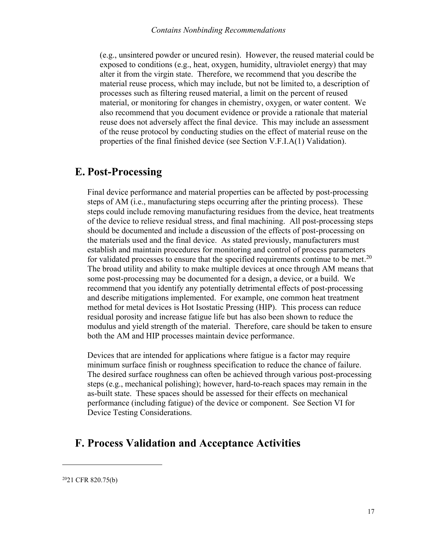(e.g., unsintered powder or uncured resin). However, the reused material could be exposed to conditions (e.g., heat, oxygen, humidity, ultraviolet energy) that may alter it from the virgin state. Therefore, we recommend that you describe the material reuse process, which may include, but not be limited to, a description of processes such as filtering reused material, a limit on the percent of reused material, or monitoring for changes in chemistry, oxygen, or water content. We also recommend that you document evidence or provide a rationale that material reuse does not adversely affect the final device. This may include an assessment of the reuse protocol by conducting studies on the effect of material reuse on the properties of the final finished device (see Section V.F.I.A(1) Validation).

## <span id="page-19-0"></span>**E. Post-Processing**

Final device performance and material properties can be affected by post-processing steps of AM (i.e., manufacturing steps occurring after the printing process). These steps could include removing manufacturing residues from the device, heat treatments of the device to relieve residual stress, and final machining. All post-processing steps should be documented and include a discussion of the effects of post-processing on the materials used and the final device. As stated previously, manufacturers must establish and maintain procedures for monitoring and control of process parameters for validated processes to ensure that the specified requirements continue to [b](#page-19-2)e met.<sup>20</sup> The broad utility and ability to make multiple devices at once through AM means that some post-processing may be documented for a design, a device, or a build. We recommend that you identify any potentially detrimental effects of post-processing and describe mitigations implemented. For example, one common heat treatment method for metal devices is Hot Isostatic Pressing (HIP). This process can reduce residual porosity and increase fatigue life but has also been shown to reduce the modulus and yield strength of the material. Therefore, care should be taken to ensure both the AM and HIP processes maintain device performance.

Devices that are intended for applications where fatigue is a factor may require minimum surface finish or roughness specification to reduce the chance of failure. The desired surface roughness can often be achieved through various post-processing steps (e.g., mechanical polishing); however, hard-to-reach spaces may remain in the as-built state. These spaces should be assessed for their effects on mechanical performance (including fatigue) of the device or component. See Section VI for Device Testing Considerations.

## <span id="page-19-1"></span>**F. Process Validation and Acceptance Activities**

<span id="page-19-2"></span>2021 CFR 820.75(b)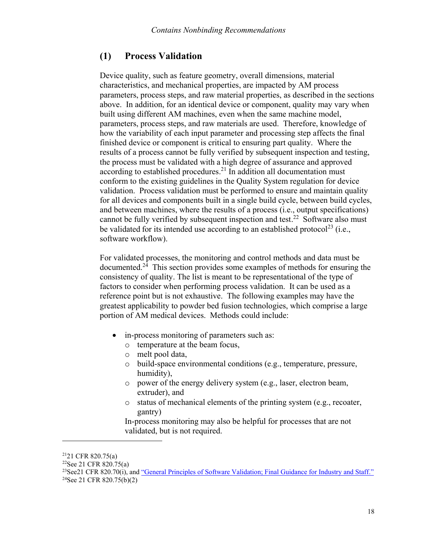### <span id="page-20-0"></span>**(1) Process Validation**

Device quality, such as feature geometry, overall dimensions, material characteristics, and mechanical properties, are impacted by AM process parameters, process steps, and raw material properties, as described in the sections above. In addition, for an identical device or component, quality may vary when built using different AM machines, even when the same machine model, parameters, process steps, and raw materials are used. Therefore, knowledge of how the variability of each input parameter and processing step affects the final finished device or component is critical to ensuring part quality. Where the results of a process cannot be fully verified by subsequent inspection and testing, the process must be validated with a high degree of assurance and approved according to established [procedures.](#page-20-1)<sup>21</sup> In addition all documentation must conform to the existing guidelines in the Quality System regulation for device validation. Process validation must be performed to ensure and maintain quality for all devices and components built in a single build cycle, between build cycles, and between machines, where the results of a process (i.e., output specifications) cannot be fully verified by subsequent inspecti[on and test.](#page-20-2)<sup>22</sup> Software also must be validated for its intended use according to an establis[hed protocol](#page-20-3)<sup>23</sup> (i.e., software workflow).

For validated processes, the monitoring and control methods and data must be d[ocumented.](#page-20-4)<sup>24</sup> This section provides some examples of methods for ensuring the consistency of quality. The list is meant to be representational of the type of factors to consider when performing process validation. It can be used as a reference point but is not exhaustive. The following examples may have the greatest applicability to powder bed fusion technologies, which comprise a large portion of AM medical devices. Methods could include:

- in-process monitoring of parameters such as:
	- o temperature at the beam focus,
	- o melt pool data,
	- o build-space environmental conditions (e.g., temperature, pressure, humidity),
	- o power of the energy delivery system (e.g., laser, electron beam, extruder), and
	- o status of mechanical elements of the printing system (e.g., recoater, gantry)

In-process monitoring may also be helpful for processes that are not validated, but is not required.

<span id="page-20-1"></span><sup>21</sup>21 CFR 820.75(a)

<span id="page-20-2"></span><sup>22</sup>See 21 CFR 820.75(a)

<span id="page-20-4"></span><span id="page-20-3"></span><sup>&</sup>lt;sup>23</sup>See21 CFR 820.70(i), and ["General Principles of Software Validation; Final Guidance for Industry and Staff.](http://www.fda.gov/medicaldevices/deviceregulationandguidance/guidancedocuments/ucm085281.htm)" 24See 21 CFR 820.75(b)(2)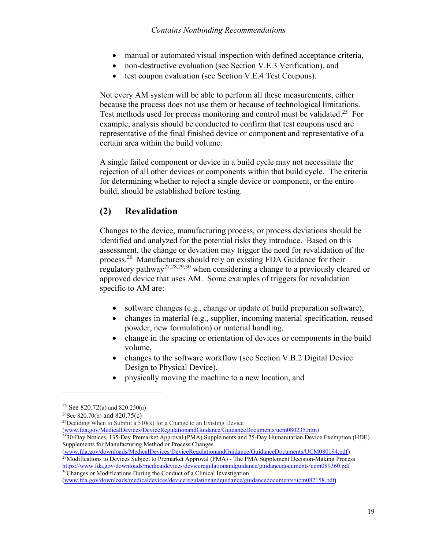- manual or automated visual inspection with defined acceptance criteria,
- non-destructive evaluation (see Section V.E.3 Verification), and
- test coupon evaluation (see Section V.E.4 Test Coupons).

Not every AM system will be able to perform all these measurements, either because the process does not use them or because of technological limitations. Test methods used for process monitoring and control must b[e validated.](#page-21-1)<sup>25</sup> For example, analysis should be conducted to confirm that test coupons used are representative of the final finished device or component and representative of a certain area within the build volume.

A single failed component or device in a build cycle may not necessitate the rejection of all other devices or components within that build cycle. The criteria for determining whether to reject a single device or component, or the entire build, should be established before testing.

## <span id="page-21-0"></span>**(2) Revalidation**

Changes to the device, manufacturing process, or process deviations should be identified and analyzed for the potential risks they introduce. Based on this assessment, the change or deviation may trigger the need for revalidation of the [process.](#page-21-2)<sup>26</sup> Manufacturers should rely on existing FDA Guidance for their regulat[ory pathway](#page-21-3)<sup>27,[28,](#page-21-4)[29,](#page-21-5)[30](#page-21-6)</sup> when considering a change to a previously cleared or approved device that uses AM. Some examples of triggers for revalidation specific to AM are:

- software changes (e.g., change or update of build preparation software),
- changes in material (e.g., supplier, incoming material specification, reused powder, new formulation) or material handling,
- change in the spacing or orientation of devices or components in the build volume,
- changes to the software workflow (see Section V.B.2 Digital Device Design to Physical Device),
- · physically moving the machine to a new location, and

 $\overline{a}$ 

([www.fda.gov/MedicalDevices/DeviceRegulationandGuidance/GuidanceDocuments/ucm080235.htm\)](http://www.fda.gov/MedicalDevices/DeviceRegulationandGuidance/GuidanceDocuments/ucm080235.htm)

<span id="page-21-4"></span><sup>28</sup>30-Day Notices, 135-Day Premarket Approval (PMA) Supplements and 75-Day Humanitarian Device Exemption (HDE) Supplements for Manufacturing Method or Process Changes

<span id="page-21-5"></span>([www.fda.gov/downloads/MedicalDevices/DeviceRegulationandGuidance/GuidanceDocuments/UCM080194.pdf\)](http://www.fda.gov/downloads/MedicalDevices/DeviceRegulationandGuidance/GuidanceDocuments/UCM080194.pdf) <sup>29</sup>Modifications to Devices Subject to Premarket Approval (PMA) - The PMA Supplement Decision-Making Process [https://www.fda.gov/downloads/medicaldevices/deviceregulationandguidance/guidancedocuments/ucm089360.p](https://www.fda.gov/downloads/medicaldevices/deviceregulationandguidance/guidancedocuments/ucm089360.pdf)df <sup>30</sup>Changes or Modifications During the Conduct of a Clinical Investigation

<span id="page-21-6"></span>([www.fda.gov/downloads/medicaldevices/deviceregulationandguidance/guidancedocuments/ucm082158.pdf](http://www.fda.gov/downloads/medicaldevices/deviceregulationandguidance/guidancedocuments/ucm082158.pdf))

<span id="page-21-1"></span><sup>&</sup>lt;sup>25</sup> See 820.72(a) and 820.250(a)

<span id="page-21-2"></span><sup>&</sup>lt;sup>26</sup>See 820.70(b) and 820.75(c)

<span id="page-21-3"></span> $27$ Deciding When to Submit a  $510(k)$  for a Change to an Existing Device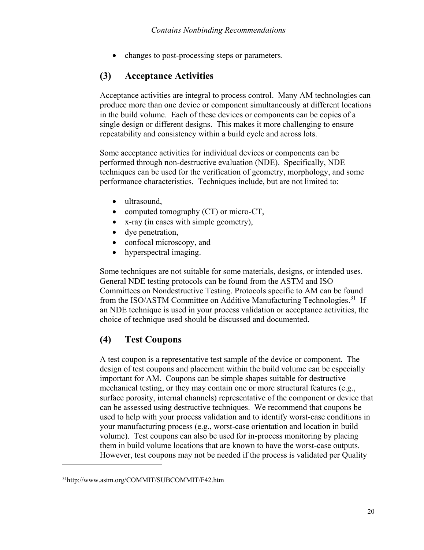• changes to post-processing steps or parameters.

### <span id="page-22-0"></span>**(3) Acceptance Activities**

Acceptance activities are integral to process control. Many AM technologies can produce more than one device or component simultaneously at different locations in the build volume. Each of these devices or components can be copies of a single design or different designs. This makes it more challenging to ensure repeatability and consistency within a build cycle and across lots.

Some acceptance activities for individual devices or components can be performed through non-destructive evaluation (NDE). Specifically, NDE techniques can be used for the verification of geometry, morphology, and some performance characteristics. Techniques include, but are not limited to:

- ultrasound,
- computed tomography (CT) or micro-CT,
- · x-ray (in cases with simple geometry),
- dye penetration,
- confocal microscopy, and
- hyperspectral imaging.

Some techniques are not suitable for some materials, designs, or intended uses. General NDE testing protocols can be found from the ASTM and ISO Committees on Nondestructive Testing. Protocols specific to AM can be found from the ISO/ASTM Committee on Additive Manufacturing Technologies.<sup>[31](#page-22-2)</sup> If an NDE technique is used in your process validation or acceptance activities, the choice of technique used should be discussed and documented.

## <span id="page-22-1"></span>**(4) Test Coupons**

A test coupon is a representative test sample of the device or component. The design of test coupons and placement within the build volume can be especially important for AM. Coupons can be simple shapes suitable for destructive mechanical testing, or they may contain one or more structural features (e.g., surface porosity, internal channels) representative of the component or device that can be assessed using destructive techniques. We recommend that coupons be used to help with your process validation and to identify worst-case conditions in your manufacturing process (e.g., worst-case orientation and location in build volume). Test coupons can also be used for in-process monitoring by placing them in build volume locations that are known to have the worst-case outputs. However, test coupons may not be needed if the process is validated per Quality

<span id="page-22-2"></span><sup>31</sup>http://www.astm.org/COMMIT/SUBCOMMIT/F42.htm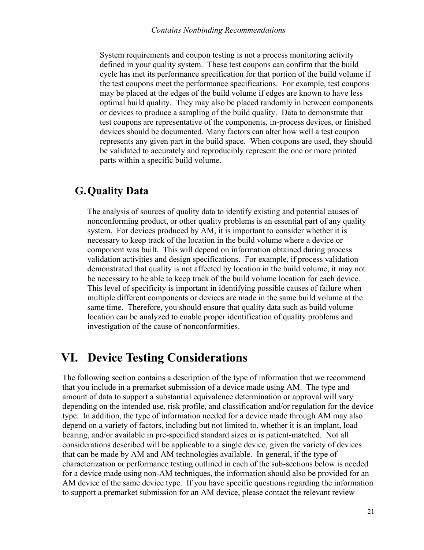System requirements and coupon testing is not a process monitoring activity defined in your quality system. These test coupons can confirm that the build cycle has met its performance specification for that portion of the build volume if the test coupons meet the performance specifications. For example, test coupons may be placed at the edges of the build volume if edges are known to have less optimal build quality. They may also be placed randomly in between components or devices to produce a sampling of the build quality. Data to demonstrate that test coupons are representative of the components, in-process devices, or finished devices should be documented. Many factors can alter how well a test coupon represents any given part in the build space. When coupons are used, they should be validated to accurately and reproducibly represent the one or more printed parts within a specific build volume.

## <span id="page-23-0"></span>**G.Quality Data**

The analysis of sources of quality data to identify existing and potential causes of nonconforming product, or other quality problems is an essential part of any quality system. For devices produced by AM, it is important to consider whether it is necessary to keep track of the location in the build volume where a device or component was built. This will depend on information obtained during process validation activities and design specifications. For example, if process validation demonstrated that quality is not affected by location in the build volume, it may not be necessary to be able to keep track of the build volume location for each device. This level of specificity is important in identifying possible causes of failure when multiple different components or devices are made in the same build volume at the same time. Therefore, you should ensure that quality data such as build volume location can be analyzed to enable proper identification of quality problems and investigation of the cause of nonconformities.

## <span id="page-23-1"></span>**VI. Device Testing Considerations**

The following section contains a description of the type of information that we recommend that you include in a premarket submission of a device made using AM. The type and amount of data to support a substantial equivalence determination or approval will vary depending on the intended use, risk profile, and classification and/or regulation for the device type. In addition, the type of information needed for a device made through AM may also depend on a variety of factors, including but not limited to, whether it is an implant, load bearing, and/or available in pre-specified standard sizes or is patient-matched. Not all considerations described will be applicable to a single device, given the variety of devices that can be made by AM and AM technologies available. In general, if the type of characterization or performance testing outlined in each of the sub-sections below is needed for a device made using non-AM techniques, the information should also be provided for an AM device of the same device type. If you have specific questions regarding the information to support a premarket submission for an AM device, please contact the relevant review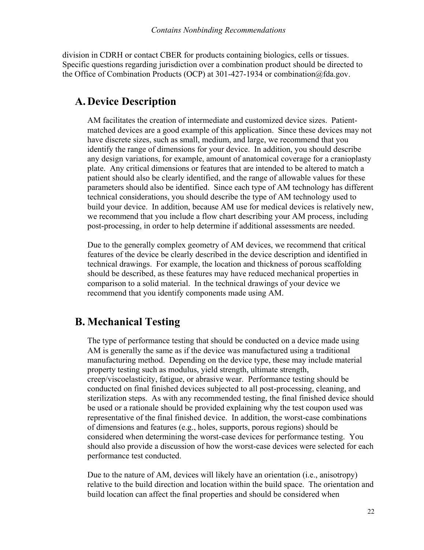division in CDRH or contact CBER for products containing biologics, cells or tissues. Specific questions regarding jurisdiction over a combination product should be directed to the Office of Combination Products (OCP) at 301-427-1934 or combination@fda.gov.

## <span id="page-24-0"></span>**A. Device Description**

AM facilitates the creation of intermediate and customized device sizes. Patientmatched devices are a good example of this application. Since these devices may not have discrete sizes, such as small, medium, and large, we recommend that you identify the range of dimensions for your device. In addition, you should describe any design variations, for example, amount of anatomical coverage for a cranioplasty plate. Any critical dimensions or features that are intended to be altered to match a patient should also be clearly identified, and the range of allowable values for these parameters should also be identified. Since each type of AM technology has different technical considerations, you should describe the type of AM technology used to build your device. In addition, because AM use for medical devices is relatively new, we recommend that you include a flow chart describing your AM process, including post-processing, in order to help determine if additional assessments are needed.

Due to the generally complex geometry of AM devices, we recommend that critical features of the device be clearly described in the device description and identified in technical drawings. For example, the location and thickness of porous scaffolding should be described, as these features may have reduced mechanical properties in comparison to a solid material. In the technical drawings of your device we recommend that you identify components made using AM.

## <span id="page-24-1"></span>**B. Mechanical Testing**

The type of performance testing that should be conducted on a device made using AM is generally the same as if the device was manufactured using a traditional manufacturing method. Depending on the device type, these may include material property testing such as modulus, yield strength, ultimate strength, creep/viscoelasticity, fatigue, or abrasive wear. Performance testing should be conducted on final finished devices subjected to all post-processing, cleaning, and sterilization steps. As with any recommended testing, the final finished device should be used or a rationale should be provided explaining why the test coupon used was representative of the final finished device. In addition, the worst-case combinations of dimensions and features (e.g., holes, supports, porous regions) should be considered when determining the worst-case devices for performance testing. You should also provide a discussion of how the worst-case devices were selected for each performance test conducted.

Due to the nature of AM, devices will likely have an orientation (i.e., anisotropy) relative to the build direction and location within the build space. The orientation and build location can affect the final properties and should be considered when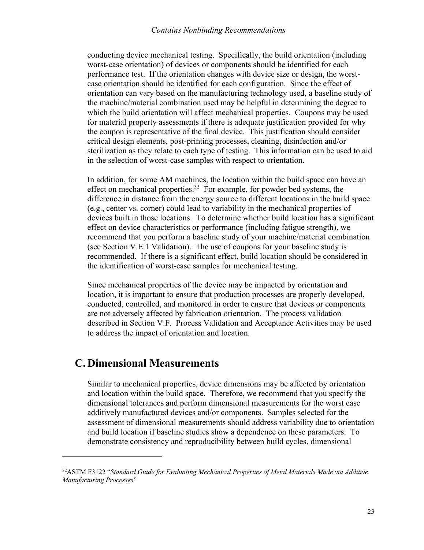#### *Contains Nonbinding Recommendations*

conducting device mechanical testing. Specifically, the build orientation (including worst-case orientation) of devices or components should be identified for each performance test. If the orientation changes with device size or design, the worstcase orientation should be identified for each configuration. Since the effect of orientation can vary based on the manufacturing technology used, a baseline study of the machine/material combination used may be helpful in determining the degree to which the build orientation will affect mechanical properties. Coupons may be used for material property assessments if there is adequate justification provided for why the coupon is representative of the final device. This justification should consider critical design elements, post-printing processes, cleaning, disinfection and/or sterilization as they relate to each type of testing. This information can be used to aid in the selection of worst-case samples with respect to orientation.

In addition, for some AM machines, the location within the build space can have an effect on mechanical pr[operties.](#page-25-1)<sup>32</sup> For example, for powder bed systems, the difference in distance from the energy source to different locations in the build space (e.g., center vs. corner) could lead to variability in the mechanical properties of devices built in those locations. To determine whether build location has a significant effect on device characteristics or performance (including fatigue strength), we recommend that you perform a baseline study of your machine/material combination (see Section V.E.1 Validation). The use of coupons for your baseline study is recommended. If there is a significant effect, build location should be considered in the identification of worst-case samples for mechanical testing.

Since mechanical properties of the device may be impacted by orientation and location, it is important to ensure that production processes are properly developed, conducted, controlled, and monitored in order to ensure that devices or components are not adversely affected by fabrication orientation. The process validation described in Section V.F. Process Validation and Acceptance Activities may be used to address the impact of orientation and location.

## <span id="page-25-0"></span>**C. Dimensional Measurements**

 $\overline{a}$ 

Similar to mechanical properties, device dimensions may be affected by orientation and location within the build space. Therefore, we recommend that you specify the dimensional tolerances and perform dimensional measurements for the worst case additively manufactured devices and/or components. Samples selected for the assessment of dimensional measurements should address variability due to orientation and build location if baseline studies show a dependence on these parameters. To demonstrate consistency and reproducibility between build cycles, dimensional

<span id="page-25-1"></span><sup>32</sup>ASTM F3122 "*Standard Guide for Evaluating Mechanical Properties of Metal Materials Made via Additive Manufacturing Processes*"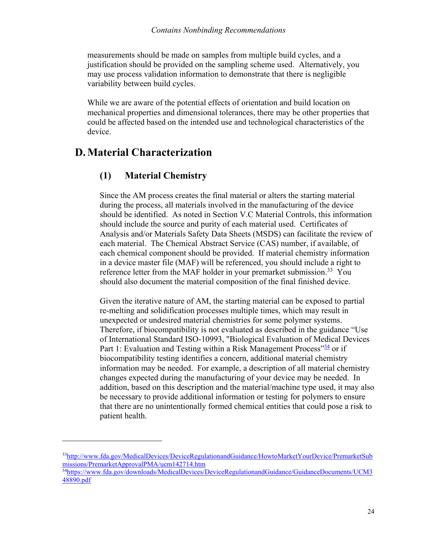measurements should be made on samples from multiple build cycles, and a justification should be provided on the sampling scheme used. Alternatively, you may use process validation information to demonstrate that there is negligible variability between build cycles.

While we are aware of the potential effects of orientation and build location on mechanical properties and dimensional tolerances, there may be other properties that could be affected based on the intended use and technological characteristics of the device.

## <span id="page-26-0"></span>**D.Material Characterization**

 $\overline{a}$ 

### <span id="page-26-1"></span>**(1) Material Chemistry**

Since the AM process creates the final material or alters the starting material during the process, all materials involved in the manufacturing of the device should be identified. As noted in Section V.C Material Controls, this information should include the source and purity of each material used. Certificates of Analysis and/or Materials Safety Data Sheets (MSDS) can facilitate the review of each material. The Chemical Abstract Service (CAS) number, if available, of each chemical component should be provided. If material chemistry information in a device master file (MAF) will be referenced, you should include a right to reference letter from the MAF holder in your premarket [submission.](#page-26-2)<sup>33</sup> You should also document the material composition of the final finished device.

Given the iterative nature of AM, the starting material can be exposed to partial re-melting and solidification processes multiple times, which may result in unexpected or undesired material chemistries for some polymer systems. Therefore, if biocompatibility is not evaluated as described in the guidance "Use of International Standard ISO-10993, "Biological Evaluation of Medical Devices Part 1: Evaluation and Testing within a Risk Management Process"<sup>[34](#page-26-3)</sup> or if biocompatibility testing identifies a concern, additional material chemistry information may be needed. For example, a description of all material chemistry changes expected during the manufacturing of your device may be needed. In addition, based on this description and the material/machine type used, it may also be necessary to provide additional information or testing for polymers to ensure that there are no unintentionally formed chemical entities that could pose a risk to patient health.

<span id="page-26-2"></span><sup>33</sup>[http://www.fda.gov/MedicalDevices/DeviceRegulationandGuidance/HowtoMarketYourDevice/PremarketSub](http://www.fda.gov/MedicalDevices/DeviceRegulationandGuidance/HowtoMarketYourDevice/PremarketSubmissions/PremarketApprovalPMA/ucm142714.htm) [missions/PremarketApprovalPMA/ucm142714.htm](http://www.fda.gov/MedicalDevices/DeviceRegulationandGuidance/HowtoMarketYourDevice/PremarketSubmissions/PremarketApprovalPMA/ucm142714.htm) 

<span id="page-26-3"></span><sup>34</sup>[https://www.fda.gov/downloads/MedicalDevices/DeviceRegulationandGuidance/GuidanceDocuments/UCM3](https://www.fda.gov/downloads/MedicalDevices/DeviceRegulationandGuidance/GuidanceDocuments/UCM348890.pdf) [48890.pdf](https://www.fda.gov/downloads/MedicalDevices/DeviceRegulationandGuidance/GuidanceDocuments/UCM348890.pdf)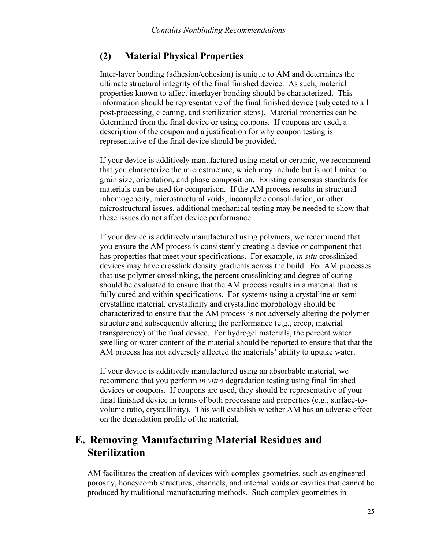#### <span id="page-27-0"></span>**(2) Material Physical Properties**

Inter-layer bonding (adhesion/cohesion) is unique to AM and determines the ultimate structural integrity of the final finished device. As such, material properties known to affect interlayer bonding should be characterized. This information should be representative of the final finished device (subjected to all post-processing, cleaning, and sterilization steps). Material properties can be determined from the final device or using coupons. If coupons are used, a description of the coupon and a justification for why coupon testing is representative of the final device should be provided.

If your device is additively manufactured using metal or ceramic, we recommend that you characterize the microstructure, which may include but is not limited to grain size, orientation, and phase composition. Existing consensus standards for materials can be used for comparison. If the AM process results in structural inhomogeneity, microstructural voids, incomplete consolidation, or other microstructural issues, additional mechanical testing may be needed to show that these issues do not affect device performance.

If your device is additively manufactured using polymers, we recommend that you ensure the AM process is consistently creating a device or component that has properties that meet your specifications. For example, *in situ* crosslinked devices may have crosslink density gradients across the build. For AM processes that use polymer crosslinking, the percent crosslinking and degree of curing should be evaluated to ensure that the AM process results in a material that is fully cured and within specifications. For systems using a crystalline or semi crystalline material, crystallinity and crystalline morphology should be characterized to ensure that the AM process is not adversely altering the polymer structure and subsequently altering the performance (e.g., creep, material transparency) of the final device. For hydrogel materials, the percent water swelling or water content of the material should be reported to ensure that that the AM process has not adversely affected the materials' ability to uptake water.

If your device is additively manufactured using an absorbable material, we recommend that you perform *in vitro* degradation testing using final finished devices or coupons. If coupons are used, they should be representative of your final finished device in terms of both processing and properties (e.g., surface-tovolume ratio, crystallinity). This will establish whether AM has an adverse effect on the degradation profile of the material.

## <span id="page-27-1"></span>**E. Removing Manufacturing Material Residues and Sterilization**

AM facilitates the creation of devices with complex geometries, such as engineered porosity, honeycomb structures, channels, and internal voids or cavities that cannot be produced by traditional manufacturing methods. Such complex geometries in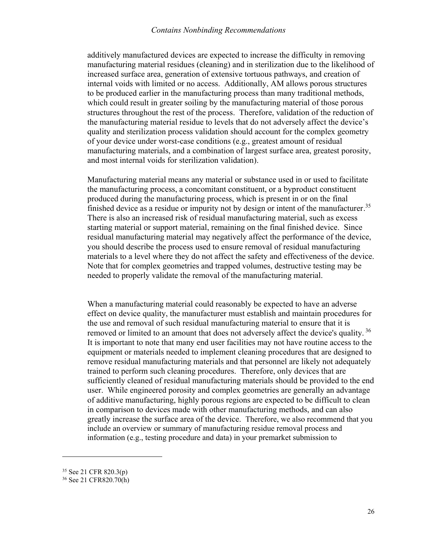#### *Contains Nonbinding Recommendations*

additively manufactured devices are expected to increase the difficulty in removing manufacturing material residues (cleaning) and in sterilization due to the likelihood of increased surface area, generation of extensive tortuous pathways, and creation of internal voids with limited or no access. Additionally, AM allows porous structures to be produced earlier in the manufacturing process than many traditional methods, which could result in greater soiling by the manufacturing material of those porous structures throughout the rest of the process. Therefore, validation of the reduction of the manufacturing material residue to levels that do not adversely affect the device's quality and sterilization process validation should account for the complex geometry of your device under worst-case conditions (e.g., greatest amount of residual manufacturing materials, and a combination of largest surface area, greatest porosity, and most internal voids for sterilization validation).

Manufacturing material means any material or substance used in or used to facilitate the manufacturing process, a concomitant constituent, or a byproduct constituent produced during the manufacturing process, which is present in or on the final finished device as a residue or impurity not by design or intent of the manuf[ac](#page-28-0)turer.<sup>35</sup> There is also an increased risk of residual manufacturing material, such as excess starting material or support material, remaining on the final finished device. Since residual manufacturing material may negatively affect the performance of the device, you should describe the process used to ensure removal of residual manufacturing materials to a level where they do not affect the safety and effectiveness of the device. Note that for complex geometries and trapped volumes, destructive testing may be needed to properly validate the removal of the manufacturing material.

When a manufacturing material could reasonably be expected to have an adverse effect on device quality, the manufacturer must establish and maintain procedures for the use and removal of such residual manufacturing material to ensure that it is removed or limited to an amount that does not adversely affect the device's [qu](#page-28-1)ality.<sup>36</sup> It is important to note that many end user facilities may not have routine access to the equipment or materials needed to implement cleaning procedures that are designed to remove residual manufacturing materials and that personnel are likely not adequately trained to perform such cleaning procedures. Therefore, only devices that are sufficiently cleaned of residual manufacturing materials should be provided to the end user. While engineered porosity and complex geometries are generally an advantage of additive manufacturing, highly porous regions are expected to be difficult to clean in comparison to devices made with other manufacturing methods, and can also greatly increase the surface area of the device. Therefore, we also recommend that you include an overview or summary of manufacturing residue removal process and information (e.g., testing procedure and data) in your premarket submission to

<span id="page-28-0"></span><sup>35</sup> See 21 CFR 820.3(p)

<span id="page-28-1"></span><sup>36</sup> See 21 CFR820.70(h)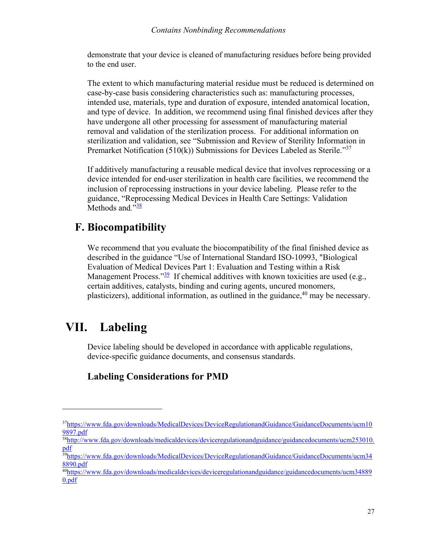demonstrate that your device is cleaned of manufacturing residues before being provided to the end user.

The extent to which manufacturing material residue must be reduced is determined on case-by-case basis considering characteristics such as: manufacturing processes, intended use, materials, type and duration of exposure, intended anatomical location, and type of device. In addition, we recommend using final finished devices after they have undergone all other processing for assessment of manufacturing material removal and validation of the sterilization process. For additional information on sterilization and validation, see "Submission and Review of Sterility Information in Premarket Notification (510(k)) Submissions for Devices Labeled as [St](#page-29-2)erile.<sup>"37</sup>

If additively manufacturing a reusable medical device that involves reprocessing or a device intended for end-user sterilization in health care facilities, we recommend the inclusion of reprocessing instructions in your device labeling. Please refer to the guidance, "Reprocessing Medical Devices in Health Care Settings: Validation Metho[ds](#page-29-3) and*.*" 38

## <span id="page-29-0"></span>**F. Biocompatibility**

We recommend that you evaluate the biocompatibility of the final finished device as described in the guidance "Use of International Standard ISO-10993, "Biological Evaluation of Medical Devices Part 1: Evaluation and Testing within a Risk Management Process."<sup>[39](#page-29-4)</sup> If chemical additives with known toxicities are used (e.g., certain additives, catalysts, binding and curing agents, uncured monomers, plasticizers), additional information, as outlined in the g[uidance,](#page-29-5) <sup>40</sup> may be necessary.

## **VII. Labeling**

 $\overline{a}$ 

<span id="page-29-1"></span>Device labeling should be developed in accordance with applicable regulations, device-specific guidance documents, and consensus standards.

## **Labeling Considerations for PMD**

<span id="page-29-2"></span><sup>37</sup>[https://www.fda.gov/downloads/MedicalDevices/DeviceRegulationandGuidance/GuidanceDocuments/ucm10](https://www.fda.gov/downloads/MedicalDevices/DeviceRegulationandGuidance/GuidanceDocuments/ucm109897.pdf) [9897.pdf](https://www.fda.gov/downloads/MedicalDevices/DeviceRegulationandGuidance/GuidanceDocuments/ucm109897.pdf) 

<span id="page-29-3"></span><sup>38</sup>[http://www.fda.gov/downloads/medicaldevices/deviceregulationandguidance/guidancedocuments/ucm253010.](http://www.fda.gov/downloads/medicaldevices/deviceregulationandguidance/guidancedocuments/ucm253010.pdf) [pdf](http://www.fda.gov/downloads/medicaldevices/deviceregulationandguidance/guidancedocuments/ucm253010.pdf) 

<span id="page-29-4"></span><sup>&</sup>lt;sup>39</sup>https://www.fda.gov/down<u>loads/MedicalDevices/DeviceRegulationandGuidance/GuidanceDocuments/ucm34</u> [8890.pdf](https://www.fda.gov/downloads/MedicalDevices/DeviceRegulationandGuidance/GuidanceDocuments/ucm348890.pdf) 

<span id="page-29-5"></span><sup>&</sup>lt;sup>40</sup>[https://www.fda.gov/downloads/medicaldevices/deviceregulationandguidance/guidancedocuments/ucm34889](https://www.fda.gov/downloads/medicaldevices/deviceregulationandguidance/guidancedocuments/ucm348890.pdf) [0.pdf](https://www.fda.gov/downloads/medicaldevices/deviceregulationandguidance/guidancedocuments/ucm348890.pdf)